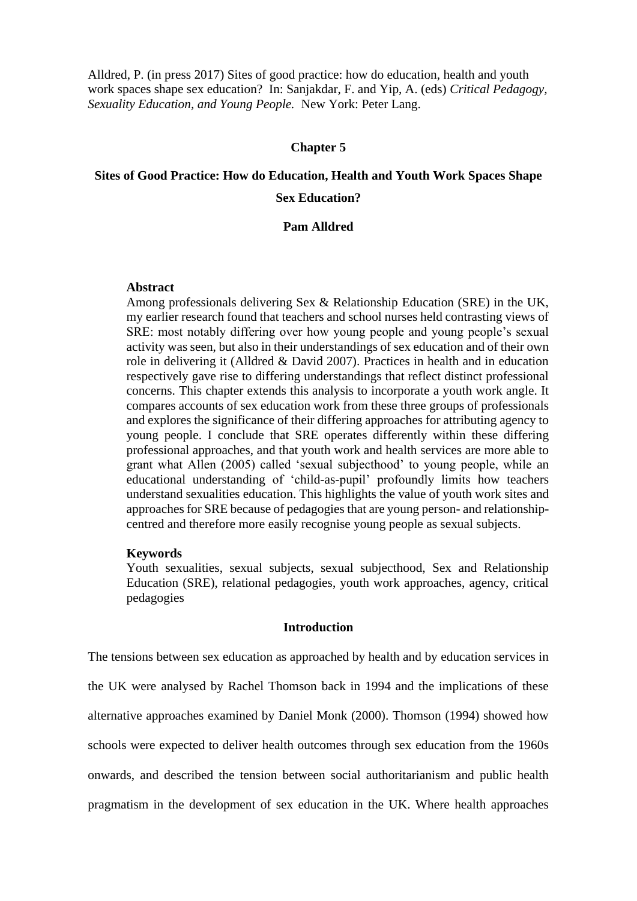Alldred, P. (in press 2017) Sites of good practice: how do education, health and youth work spaces shape sex education? In: Sanjakdar, F. and Yip, A. (eds) *Critical Pedagogy, Sexuality Education, and Young People.* New York: Peter Lang.

# **Chapter 5**

# **Sites of Good Practice: How do Education, Health and Youth Work Spaces Shape Sex Education?**

#### **Pam Alldred**

# **Abstract**

Among professionals delivering Sex & Relationship Education (SRE) in the UK, my earlier research found that teachers and school nurses held contrasting views of SRE: most notably differing over how young people and young people's sexual activity was seen, but also in their understandings of sex education and of their own role in delivering it (Alldred & David 2007). Practices in health and in education respectively gave rise to differing understandings that reflect distinct professional concerns. This chapter extends this analysis to incorporate a youth work angle. It compares accounts of sex education work from these three groups of professionals and explores the significance of their differing approaches for attributing agency to young people. I conclude that SRE operates differently within these differing professional approaches, and that youth work and health services are more able to grant what Allen (2005) called 'sexual subjecthood' to young people, while an educational understanding of 'child-as-pupil' profoundly limits how teachers understand sexualities education. This highlights the value of youth work sites and approaches for SRE because of pedagogies that are young person- and relationshipcentred and therefore more easily recognise young people as sexual subjects.

#### **Keywords**

Youth sexualities, sexual subjects, sexual subjecthood, Sex and Relationship Education (SRE), relational pedagogies, youth work approaches, agency, critical pedagogies

# **Introduction**

The tensions between sex education as approached by health and by education services in the UK were analysed by Rachel Thomson back in 1994 and the implications of these alternative approaches examined by Daniel Monk (2000). Thomson (1994) showed how schools were expected to deliver health outcomes through sex education from the 1960s onwards, and described the tension between social authoritarianism and public health pragmatism in the development of sex education in the UK. Where health approaches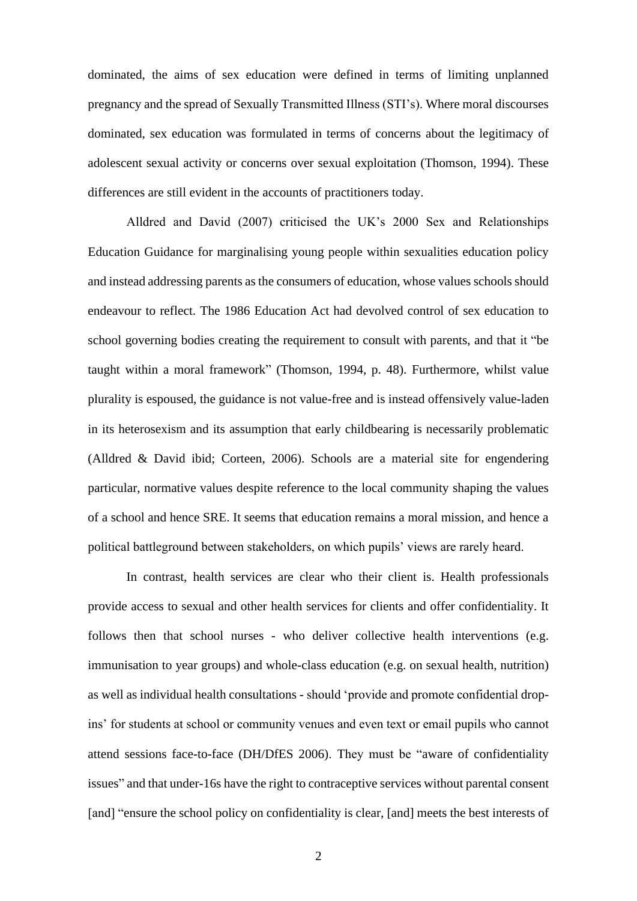dominated, the aims of sex education were defined in terms of limiting unplanned pregnancy and the spread of Sexually Transmitted Illness (STI's). Where moral discourses dominated, sex education was formulated in terms of concerns about the legitimacy of adolescent sexual activity or concerns over sexual exploitation (Thomson, 1994). These differences are still evident in the accounts of practitioners today.

Alldred and David (2007) criticised the UK's 2000 Sex and Relationships Education Guidance for marginalising young people within sexualities education policy and instead addressing parents as the consumers of education, whose values schools should endeavour to reflect. The 1986 Education Act had devolved control of sex education to school governing bodies creating the requirement to consult with parents, and that it "be taught within a moral framework" (Thomson, 1994, p. 48). Furthermore, whilst value plurality is espoused, the guidance is not value-free and is instead offensively value-laden in its heterosexism and its assumption that early childbearing is necessarily problematic (Alldred & David ibid; Corteen, 2006). Schools are a material site for engendering particular, normative values despite reference to the local community shaping the values of a school and hence SRE. It seems that education remains a moral mission, and hence a political battleground between stakeholders, on which pupils' views are rarely heard.

In contrast, health services are clear who their client is. Health professionals provide access to sexual and other health services for clients and offer confidentiality. It follows then that school nurses - who deliver collective health interventions (e.g. immunisation to year groups) and whole-class education (e.g. on sexual health, nutrition) as well as individual health consultations - should 'provide and promote confidential dropins' for students at school or community venues and even text or email pupils who cannot attend sessions face-to-face (DH/DfES 2006). They must be "aware of confidentiality issues" and that under-16s have the right to contraceptive services without parental consent [and] "ensure the school policy on confidentiality is clear, [and] meets the best interests of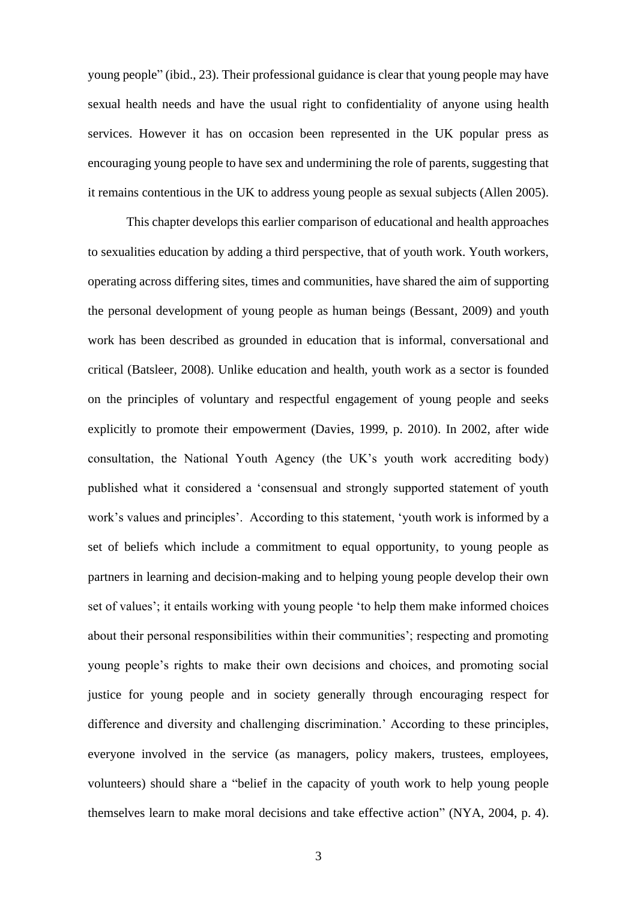young people" (ibid., 23). Their professional guidance is clear that young people may have sexual health needs and have the usual right to confidentiality of anyone using health services. However it has on occasion been represented in the UK popular press as encouraging young people to have sex and undermining the role of parents, suggesting that it remains contentious in the UK to address young people as sexual subjects (Allen 2005).

This chapter develops this earlier comparison of educational and health approaches to sexualities education by adding a third perspective, that of youth work. Youth workers, operating across differing sites, times and communities, have shared the aim of supporting the personal development of young people as human beings (Bessant, 2009) and youth work has been described as grounded in education that is informal, conversational and critical (Batsleer, 2008). Unlike education and health, youth work as a sector is founded on the principles of voluntary and respectful engagement of young people and seeks explicitly to promote their empowerment (Davies, 1999, p. 2010). In 2002, after wide consultation, the National Youth Agency (the UK's youth work accrediting body) published what it considered a 'consensual and strongly supported statement of youth work's values and principles'. According to this statement, 'youth work is informed by a set of beliefs which include a commitment to equal opportunity, to young people as partners in learning and decision-making and to helping young people develop their own set of values'; it entails working with young people 'to help them make informed choices about their personal responsibilities within their communities'; respecting and promoting young people's rights to make their own decisions and choices, and promoting social justice for young people and in society generally through encouraging respect for difference and diversity and challenging discrimination.' According to these principles, everyone involved in the service (as managers, policy makers, trustees, employees, volunteers) should share a "belief in the capacity of youth work to help young people themselves learn to make moral decisions and take effective action" (NYA, 2004, p. 4).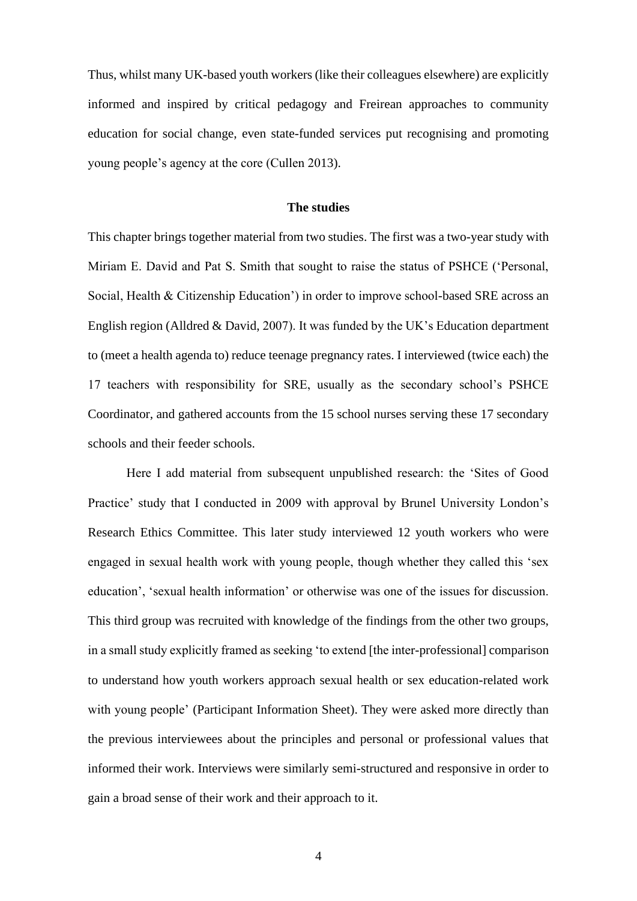Thus, whilst many UK-based youth workers (like their colleagues elsewhere) are explicitly informed and inspired by critical pedagogy and Freirean approaches to community education for social change, even state-funded services put recognising and promoting young people's agency at the core (Cullen 2013).

# **The studies**

This chapter brings together material from two studies. The first was a two-year study with Miriam E. David and Pat S. Smith that sought to raise the status of PSHCE ('Personal, Social, Health & Citizenship Education') in order to improve school-based SRE across an English region (Alldred & David, 2007). It was funded by the UK's Education department to (meet a health agenda to) reduce teenage pregnancy rates. I interviewed (twice each) the 17 teachers with responsibility for SRE, usually as the secondary school's PSHCE Coordinator, and gathered accounts from the 15 school nurses serving these 17 secondary schools and their feeder schools.

Here I add material from subsequent unpublished research: the 'Sites of Good Practice' study that I conducted in 2009 with approval by Brunel University London's Research Ethics Committee. This later study interviewed 12 youth workers who were engaged in sexual health work with young people, though whether they called this 'sex education', 'sexual health information' or otherwise was one of the issues for discussion. This third group was recruited with knowledge of the findings from the other two groups, in a small study explicitly framed as seeking 'to extend [the inter-professional] comparison to understand how youth workers approach sexual health or sex education-related work with young people' (Participant Information Sheet). They were asked more directly than the previous interviewees about the principles and personal or professional values that informed their work. Interviews were similarly semi-structured and responsive in order to gain a broad sense of their work and their approach to it.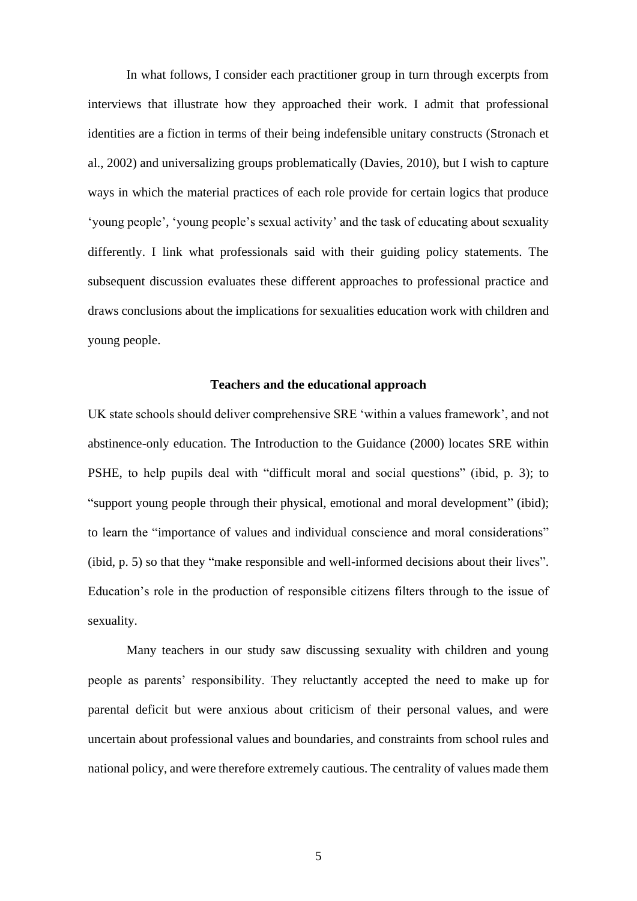In what follows, I consider each practitioner group in turn through excerpts from interviews that illustrate how they approached their work. I admit that professional identities are a fiction in terms of their being indefensible unitary constructs (Stronach et al., 2002) and universalizing groups problematically (Davies, 2010), but I wish to capture ways in which the material practices of each role provide for certain logics that produce 'young people', 'young people's sexual activity' and the task of educating about sexuality differently. I link what professionals said with their guiding policy statements. The subsequent discussion evaluates these different approaches to professional practice and draws conclusions about the implications for sexualities education work with children and young people.

# **Teachers and the educational approach**

UK state schools should deliver comprehensive SRE 'within a values framework', and not abstinence-only education. The Introduction to the Guidance (2000) locates SRE within PSHE, to help pupils deal with "difficult moral and social questions" (ibid, p. 3); to "support young people through their physical, emotional and moral development" (ibid); to learn the "importance of values and individual conscience and moral considerations" (ibid, p. 5) so that they "make responsible and well-informed decisions about their lives". Education's role in the production of responsible citizens filters through to the issue of sexuality.

Many teachers in our study saw discussing sexuality with children and young people as parents' responsibility. They reluctantly accepted the need to make up for parental deficit but were anxious about criticism of their personal values, and were uncertain about professional values and boundaries, and constraints from school rules and national policy, and were therefore extremely cautious. The centrality of values made them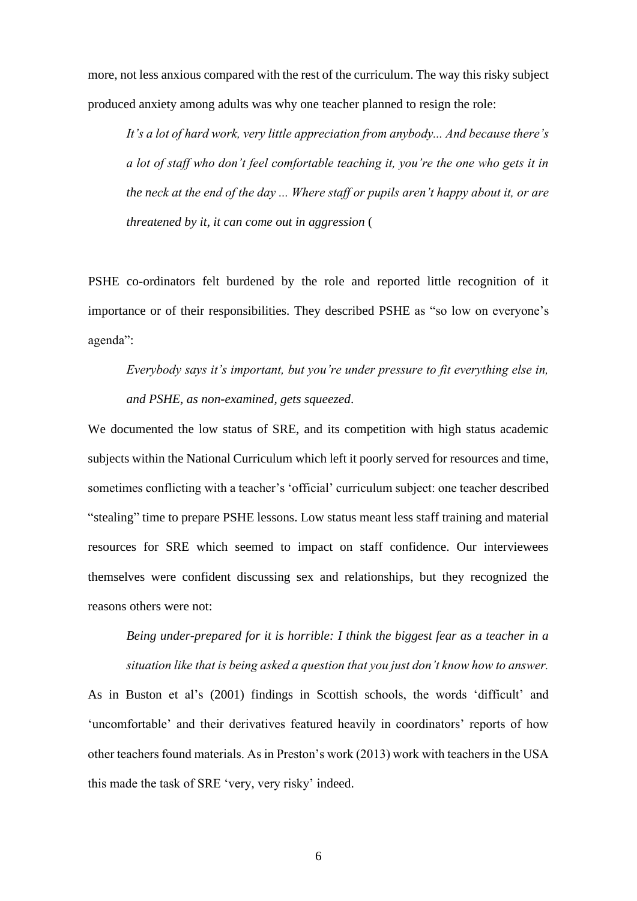more, not less anxious compared with the rest of the curriculum. The way this risky subject produced anxiety among adults was why one teacher planned to resign the role:

*It's a lot of hard work, very little appreciation from anybody... And because there's a lot of staff who don't feel comfortable teaching it, you're the one who gets it in the neck at the end of the day ... Where staff or pupils aren't happy about it, or are threatened by it, it can come out in aggression* (

PSHE co-ordinators felt burdened by the role and reported little recognition of it importance or of their responsibilities. They described PSHE as "so low on everyone's agenda":

*Everybody says it's important, but you're under pressure to fit everything else in, and PSHE, as non-examined, gets squeezed*.

We documented the low status of SRE, and its competition with high status academic subjects within the National Curriculum which left it poorly served for resources and time, sometimes conflicting with a teacher's 'official' curriculum subject: one teacher described "stealing" time to prepare PSHE lessons. Low status meant less staff training and material resources for SRE which seemed to impact on staff confidence. Our interviewees themselves were confident discussing sex and relationships, but they recognized the reasons others were not:

*Being under-prepared for it is horrible: I think the biggest fear as a teacher in a situation like that is being asked a question that you just don't know how to answer.*

As in Buston et al's (2001) findings in Scottish schools, the words 'difficult' and 'uncomfortable' and their derivatives featured heavily in coordinators' reports of how other teachers found materials. As in Preston's work (2013) work with teachers in the USA this made the task of SRE 'very, very risky' indeed.

6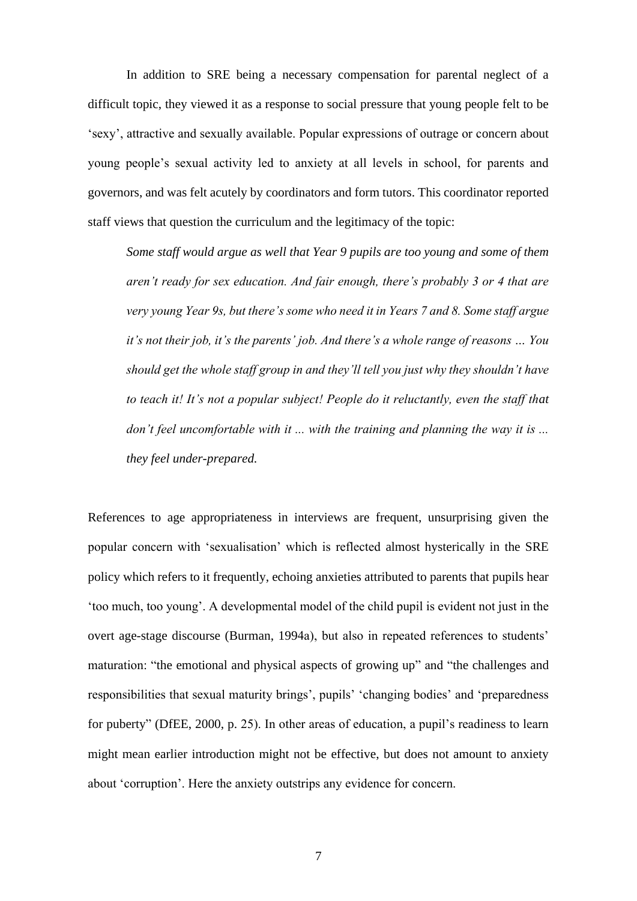In addition to SRE being a necessary compensation for parental neglect of a difficult topic, they viewed it as a response to social pressure that young people felt to be 'sexy', attractive and sexually available. Popular expressions of outrage or concern about young people's sexual activity led to anxiety at all levels in school, for parents and governors, and was felt acutely by coordinators and form tutors. This coordinator reported staff views that question the curriculum and the legitimacy of the topic:

*Some staff would argue as well that Year 9 pupils are too young and some of them aren't ready for sex education. And fair enough, there's probably 3 or 4 that are very young Year 9s, but there's some who need it in Years 7 and 8. Some staff argue it's not their job, it's the parents' job. And there's a whole range of reasons … You should get the whole staff group in and they'll tell you just why they shouldn't have to teach it! It's not a popular subject! People do it reluctantly, even the staff that don't feel uncomfortable with it ... with the training and planning the way it is ... they feel under-prepared.*

References to age appropriateness in interviews are frequent, unsurprising given the popular concern with 'sexualisation' which is reflected almost hysterically in the SRE policy which refers to it frequently, echoing anxieties attributed to parents that pupils hear 'too much, too young'. A developmental model of the child pupil is evident not just in the overt age-stage discourse (Burman, 1994a), but also in repeated references to students' maturation: "the emotional and physical aspects of growing up" and "the challenges and responsibilities that sexual maturity brings', pupils' 'changing bodies' and 'preparedness for puberty" (DfEE, 2000, p. 25). In other areas of education, a pupil's readiness to learn might mean earlier introduction might not be effective, but does not amount to anxiety about 'corruption'. Here the anxiety outstrips any evidence for concern.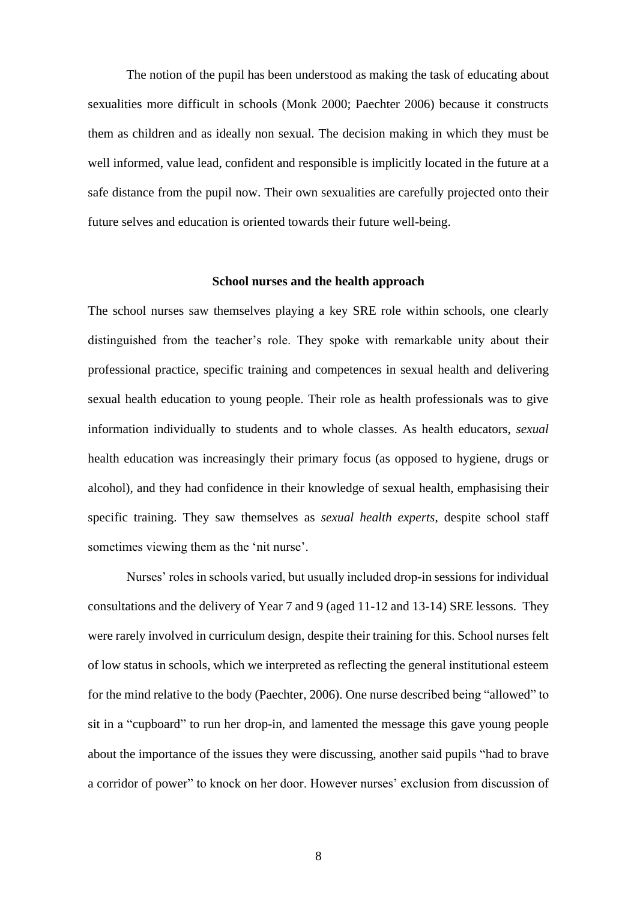The notion of the pupil has been understood as making the task of educating about sexualities more difficult in schools (Monk 2000; Paechter 2006) because it constructs them as children and as ideally non sexual. The decision making in which they must be well informed, value lead, confident and responsible is implicitly located in the future at a safe distance from the pupil now. Their own sexualities are carefully projected onto their future selves and education is oriented towards their future well-being.

### **School nurses and the health approach**

The school nurses saw themselves playing a key SRE role within schools, one clearly distinguished from the teacher's role. They spoke with remarkable unity about their professional practice, specific training and competences in sexual health and delivering sexual health education to young people. Their role as health professionals was to give information individually to students and to whole classes. As health educators, *sexual* health education was increasingly their primary focus (as opposed to hygiene, drugs or alcohol), and they had confidence in their knowledge of sexual health, emphasising their specific training. They saw themselves as *sexual health experts*, despite school staff sometimes viewing them as the 'nit nurse'.

Nurses' roles in schools varied, but usually included drop-in sessions for individual consultations and the delivery of Year 7 and 9 (aged 11-12 and 13-14) SRE lessons. They were rarely involved in curriculum design, despite their training for this. School nurses felt of low status in schools, which we interpreted as reflecting the general institutional esteem for the mind relative to the body (Paechter, 2006). One nurse described being "allowed" to sit in a "cupboard" to run her drop-in, and lamented the message this gave young people about the importance of the issues they were discussing, another said pupils "had to brave a corridor of power" to knock on her door. However nurses' exclusion from discussion of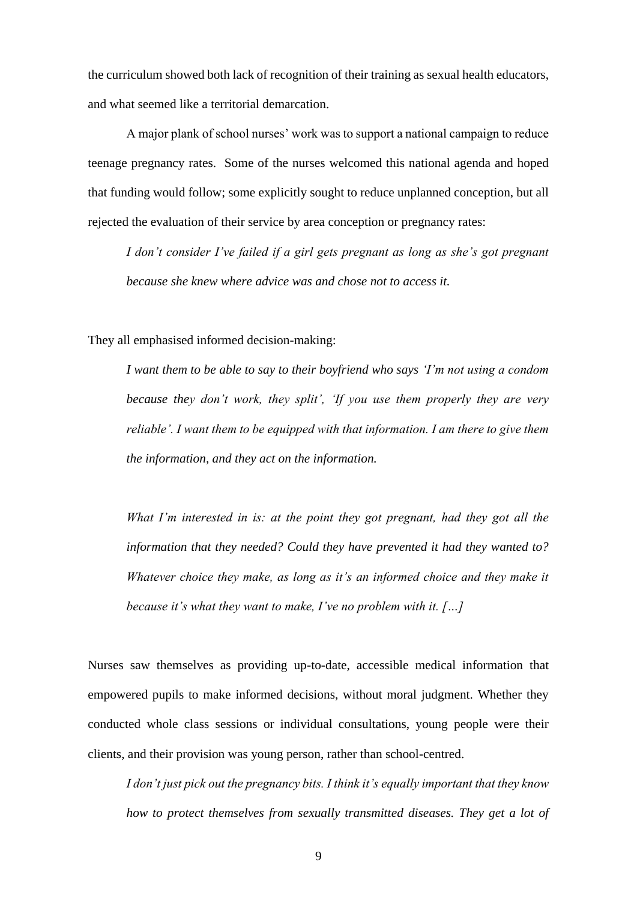the curriculum showed both lack of recognition of their training as sexual health educators, and what seemed like a territorial demarcation.

A major plank of school nurses' work was to support a national campaign to reduce teenage pregnancy rates. Some of the nurses welcomed this national agenda and hoped that funding would follow; some explicitly sought to reduce unplanned conception, but all rejected the evaluation of their service by area conception or pregnancy rates:

*I don't consider I've failed if a girl gets pregnant as long as she's got pregnant because she knew where advice was and chose not to access it.*

They all emphasised informed decision-making:

*I want them to be able to say to their boyfriend who says 'I'm not using a condom because they don't work, they split', 'If you use them properly they are very reliable'. I want them to be equipped with that information. I am there to give them the information, and they act on the information.*

*What I'm interested in is: at the point they got pregnant, had they got all the information that they needed? Could they have prevented it had they wanted to? Whatever choice they make, as long as it's an informed choice and they make it because it's what they want to make, I've no problem with it. […]* 

Nurses saw themselves as providing up-to-date, accessible medical information that empowered pupils to make informed decisions, without moral judgment. Whether they conducted whole class sessions or individual consultations, young people were their clients, and their provision was young person, rather than school-centred.

*I don't just pick out the pregnancy bits. I think it's equally important that they know*  how to protect themselves from sexually transmitted diseases. They get a lot of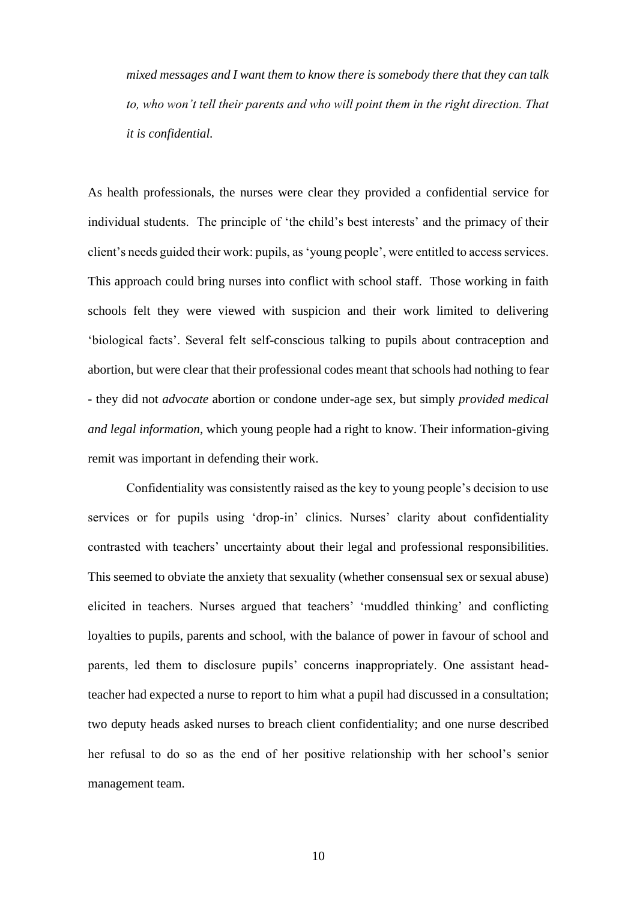*mixed messages and I want them to know there is somebody there that they can talk to, who won't tell their parents and who will point them in the right direction. That it is confidential.*

As health professionals, the nurses were clear they provided a confidential service for individual students. The principle of 'the child's best interests' and the primacy of their client's needs guided their work: pupils, as 'young people', were entitled to access services. This approach could bring nurses into conflict with school staff. Those working in faith schools felt they were viewed with suspicion and their work limited to delivering 'biological facts'. Several felt self-conscious talking to pupils about contraception and abortion, but were clear that their professional codes meant that schools had nothing to fear - they did not *advocate* abortion or condone under-age sex, but simply *provided medical and legal information*, which young people had a right to know. Their information-giving remit was important in defending their work.

Confidentiality was consistently raised as the key to young people's decision to use services or for pupils using 'drop-in' clinics. Nurses' clarity about confidentiality contrasted with teachers' uncertainty about their legal and professional responsibilities. This seemed to obviate the anxiety that sexuality (whether consensual sex or sexual abuse) elicited in teachers. Nurses argued that teachers' 'muddled thinking' and conflicting loyalties to pupils, parents and school, with the balance of power in favour of school and parents, led them to disclosure pupils' concerns inappropriately. One assistant headteacher had expected a nurse to report to him what a pupil had discussed in a consultation; two deputy heads asked nurses to breach client confidentiality; and one nurse described her refusal to do so as the end of her positive relationship with her school's senior management team.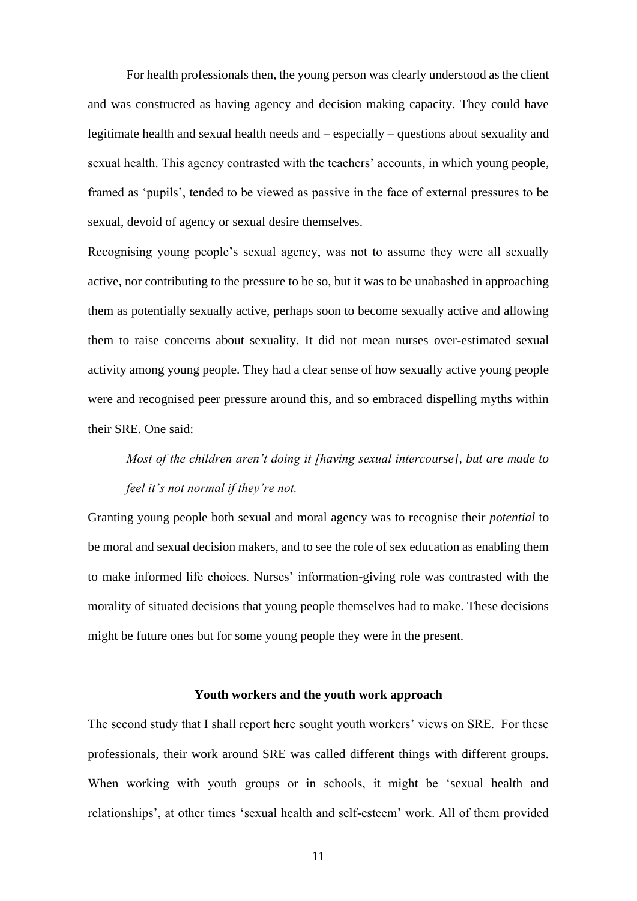For health professionals then, the young person was clearly understood as the client and was constructed as having agency and decision making capacity. They could have legitimate health and sexual health needs and – especially – questions about sexuality and sexual health. This agency contrasted with the teachers' accounts, in which young people, framed as 'pupils', tended to be viewed as passive in the face of external pressures to be sexual, devoid of agency or sexual desire themselves.

Recognising young people's sexual agency, was not to assume they were all sexually active, nor contributing to the pressure to be so, but it was to be unabashed in approaching them as potentially sexually active, perhaps soon to become sexually active and allowing them to raise concerns about sexuality. It did not mean nurses over-estimated sexual activity among young people. They had a clear sense of how sexually active young people were and recognised peer pressure around this, and so embraced dispelling myths within their SRE. One said:

# *Most of the children aren't doing it [having sexual intercourse], but are made to feel it's not normal if they're not.*

Granting young people both sexual and moral agency was to recognise their *potential* to be moral and sexual decision makers, and to see the role of sex education as enabling them to make informed life choices. Nurses' information-giving role was contrasted with the morality of situated decisions that young people themselves had to make. These decisions might be future ones but for some young people they were in the present.

#### **Youth workers and the youth work approach**

The second study that I shall report here sought youth workers' views on SRE. For these professionals, their work around SRE was called different things with different groups. When working with youth groups or in schools, it might be 'sexual health and relationships', at other times 'sexual health and self-esteem' work. All of them provided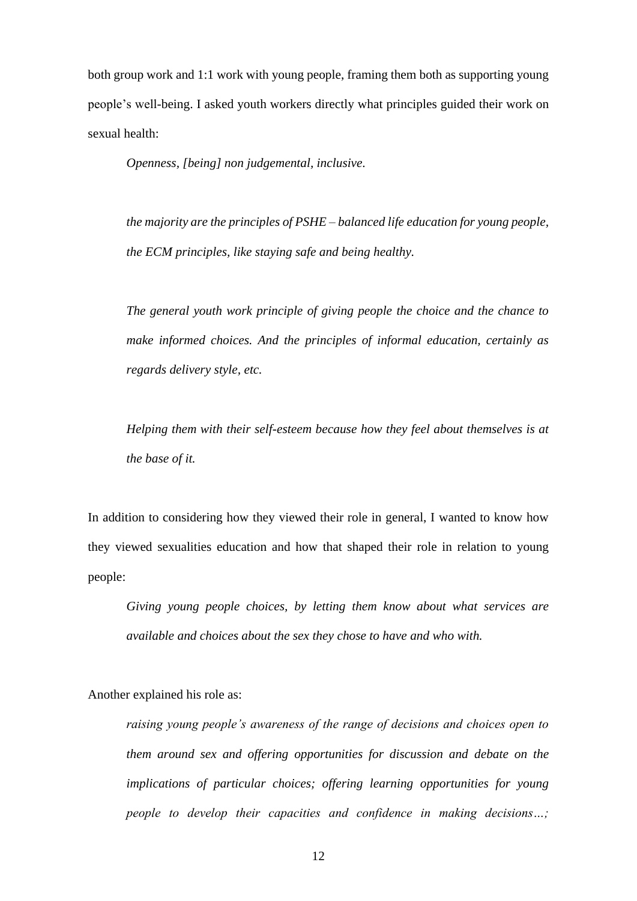both group work and 1:1 work with young people, framing them both as supporting young people's well-being. I asked youth workers directly what principles guided their work on sexual health:

*Openness, [being] non judgemental, inclusive.*

*the majority are the principles of PSHE – balanced life education for young people, the ECM principles, like staying safe and being healthy.*

*The general youth work principle of giving people the choice and the chance to make informed choices. And the principles of informal education, certainly as regards delivery style, etc.* 

*Helping them with their self-esteem because how they feel about themselves is at the base of it.*

In addition to considering how they viewed their role in general, I wanted to know how they viewed sexualities education and how that shaped their role in relation to young people:

*Giving young people choices, by letting them know about what services are available and choices about the sex they chose to have and who with.* 

Another explained his role as:

*raising young people's awareness of the range of decisions and choices open to them around sex and offering opportunities for discussion and debate on the implications of particular choices; offering learning opportunities for young people to develop their capacities and confidence in making decisions…;*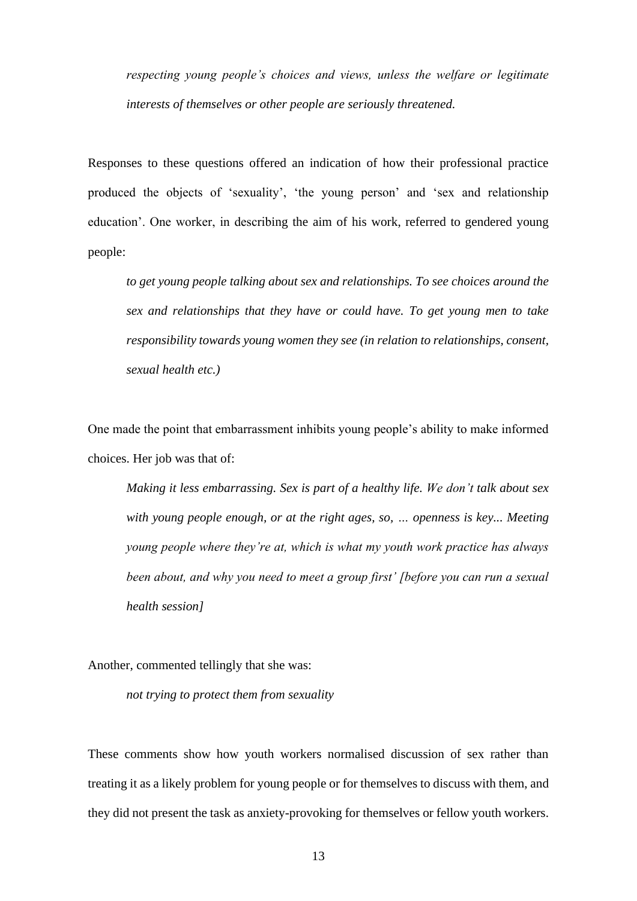*respecting young people's choices and views, unless the welfare or legitimate interests of themselves or other people are seriously threatened.*

Responses to these questions offered an indication of how their professional practice produced the objects of 'sexuality', 'the young person' and 'sex and relationship education'. One worker, in describing the aim of his work, referred to gendered young people:

*to get young people talking about sex and relationships. To see choices around the sex and relationships that they have or could have. To get young men to take responsibility towards young women they see (in relation to relationships, consent, sexual health etc.)* 

One made the point that embarrassment inhibits young people's ability to make informed choices. Her job was that of:

*Making it less embarrassing. Sex is part of a healthy life. We don't talk about sex with young people enough, or at the right ages, so, … openness is key... Meeting young people where they're at, which is what my youth work practice has always been about, and why you need to meet a group first' [before you can run a sexual health session]*

Another, commented tellingly that she was:

*not trying to protect them from sexuality*

These comments show how youth workers normalised discussion of sex rather than treating it as a likely problem for young people or for themselves to discuss with them, and they did not present the task as anxiety-provoking for themselves or fellow youth workers.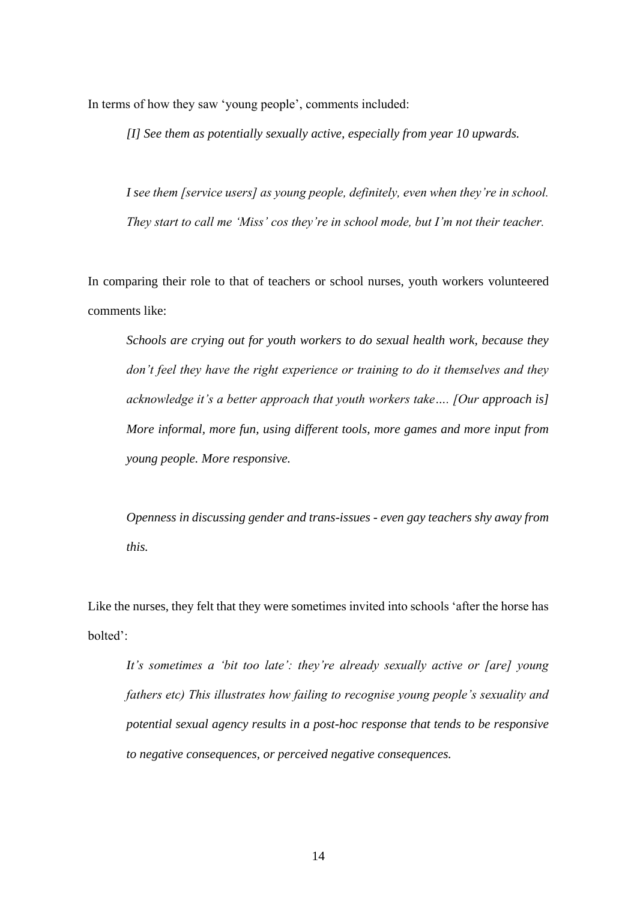In terms of how they saw 'young people', comments included:

*[I] See them as potentially sexually active, especially from year 10 upwards.*

*I see them [service users] as young people, definitely, even when they're in school. They start to call me 'Miss' cos they're in school mode, but I'm not their teacher.*

In comparing their role to that of teachers or school nurses, youth workers volunteered comments like:

*Schools are crying out for youth workers to do sexual health work, because they don't feel they have the right experience or training to do it themselves and they acknowledge it's a better approach that youth workers take…. [Our approach is] More informal, more fun, using different tools, more games and more input from young people. More responsive.*

*Openness in discussing gender and trans-issues - even gay teachers shy away from this.*

Like the nurses, they felt that they were sometimes invited into schools 'after the horse has bolted':

*It's sometimes a 'bit too late': they're already sexually active or [are] young fathers etc) This illustrates how failing to recognise young people's sexuality and potential sexual agency results in a post-hoc response that tends to be responsive to negative consequences, or perceived negative consequences.*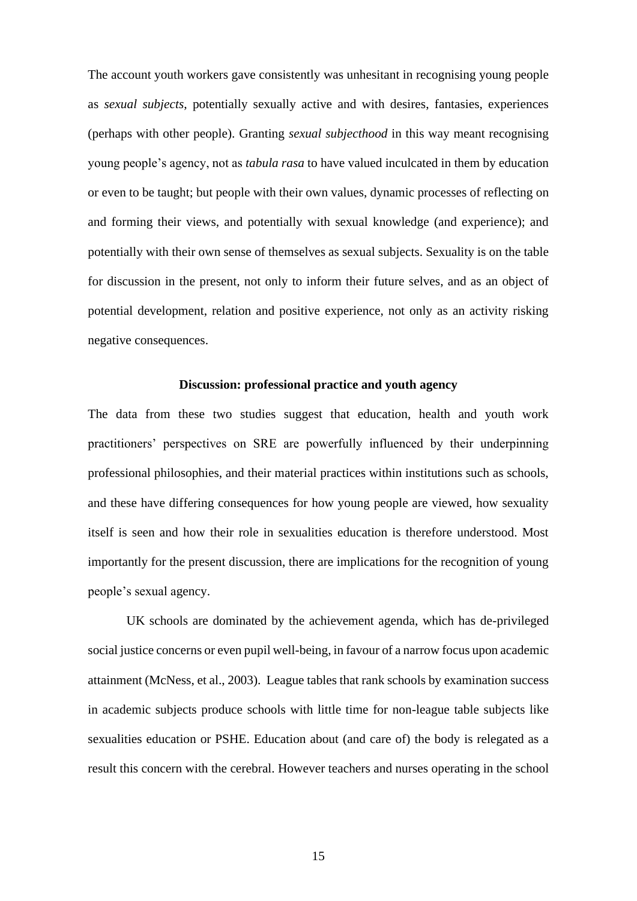The account youth workers gave consistently was unhesitant in recognising young people as *sexual subjects*, potentially sexually active and with desires, fantasies, experiences (perhaps with other people). Granting *sexual subjecthood* in this way meant recognising young people's agency, not as *tabula rasa* to have valued inculcated in them by education or even to be taught; but people with their own values, dynamic processes of reflecting on and forming their views, and potentially with sexual knowledge (and experience); and potentially with their own sense of themselves as sexual subjects. Sexuality is on the table for discussion in the present, not only to inform their future selves, and as an object of potential development, relation and positive experience, not only as an activity risking negative consequences.

## **Discussion: professional practice and youth agency**

The data from these two studies suggest that education, health and youth work practitioners' perspectives on SRE are powerfully influenced by their underpinning professional philosophies, and their material practices within institutions such as schools, and these have differing consequences for how young people are viewed, how sexuality itself is seen and how their role in sexualities education is therefore understood. Most importantly for the present discussion, there are implications for the recognition of young people's sexual agency.

UK schools are dominated by the achievement agenda, which has de-privileged social justice concerns or even pupil well-being, in favour of a narrow focus upon academic attainment (McNess, et al., 2003). League tables that rank schools by examination success in academic subjects produce schools with little time for non-league table subjects like sexualities education or PSHE. Education about (and care of) the body is relegated as a result this concern with the cerebral. However teachers and nurses operating in the school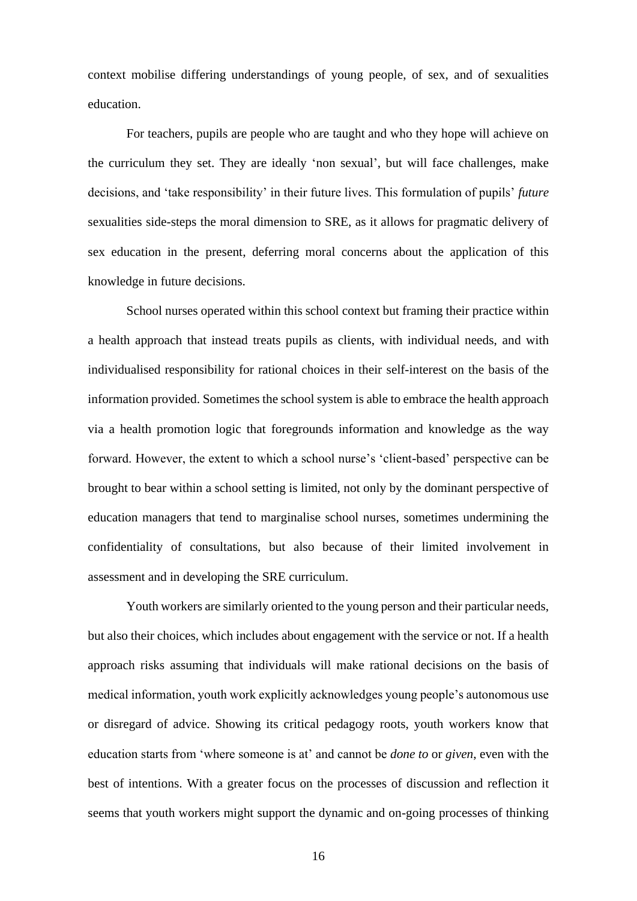context mobilise differing understandings of young people, of sex, and of sexualities education.

 For teachers, pupils are people who are taught and who they hope will achieve on the curriculum they set. They are ideally 'non sexual', but will face challenges, make decisions, and 'take responsibility' in their future lives. This formulation of pupils' *future* sexualities side-steps the moral dimension to SRE, as it allows for pragmatic delivery of sex education in the present, deferring moral concerns about the application of this knowledge in future decisions.

School nurses operated within this school context but framing their practice within a health approach that instead treats pupils as clients, with individual needs, and with individualised responsibility for rational choices in their self-interest on the basis of the information provided. Sometimes the school system is able to embrace the health approach via a health promotion logic that foregrounds information and knowledge as the way forward. However, the extent to which a school nurse's 'client-based' perspective can be brought to bear within a school setting is limited, not only by the dominant perspective of education managers that tend to marginalise school nurses, sometimes undermining the confidentiality of consultations, but also because of their limited involvement in assessment and in developing the SRE curriculum.

Youth workers are similarly oriented to the young person and their particular needs, but also their choices, which includes about engagement with the service or not. If a health approach risks assuming that individuals will make rational decisions on the basis of medical information, youth work explicitly acknowledges young people's autonomous use or disregard of advice. Showing its critical pedagogy roots, youth workers know that education starts from 'where someone is at' and cannot be *done to* or *given*, even with the best of intentions. With a greater focus on the processes of discussion and reflection it seems that youth workers might support the dynamic and on-going processes of thinking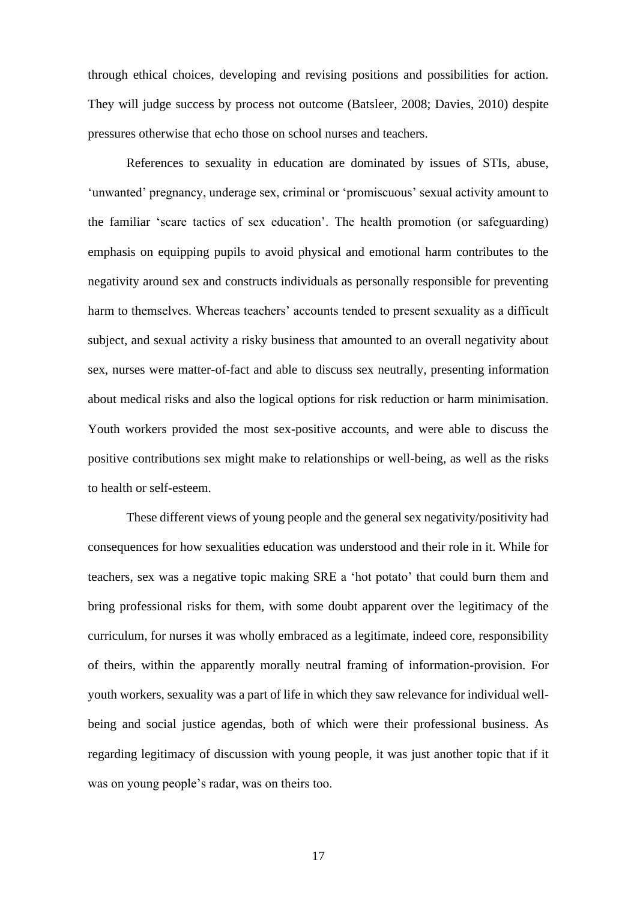through ethical choices, developing and revising positions and possibilities for action. They will judge success by process not outcome (Batsleer, 2008; Davies, 2010) despite pressures otherwise that echo those on school nurses and teachers.

References to sexuality in education are dominated by issues of STIs, abuse, 'unwanted' pregnancy, underage sex, criminal or 'promiscuous' sexual activity amount to the familiar 'scare tactics of sex education'. The health promotion (or safeguarding) emphasis on equipping pupils to avoid physical and emotional harm contributes to the negativity around sex and constructs individuals as personally responsible for preventing harm to themselves. Whereas teachers' accounts tended to present sexuality as a difficult subject, and sexual activity a risky business that amounted to an overall negativity about sex, nurses were matter-of-fact and able to discuss sex neutrally, presenting information about medical risks and also the logical options for risk reduction or harm minimisation. Youth workers provided the most sex-positive accounts, and were able to discuss the positive contributions sex might make to relationships or well-being, as well as the risks to health or self-esteem.

These different views of young people and the general sex negativity/positivity had consequences for how sexualities education was understood and their role in it. While for teachers, sex was a negative topic making SRE a 'hot potato' that could burn them and bring professional risks for them, with some doubt apparent over the legitimacy of the curriculum, for nurses it was wholly embraced as a legitimate, indeed core, responsibility of theirs, within the apparently morally neutral framing of information-provision. For youth workers, sexuality was a part of life in which they saw relevance for individual wellbeing and social justice agendas, both of which were their professional business. As regarding legitimacy of discussion with young people, it was just another topic that if it was on young people's radar, was on theirs too.

17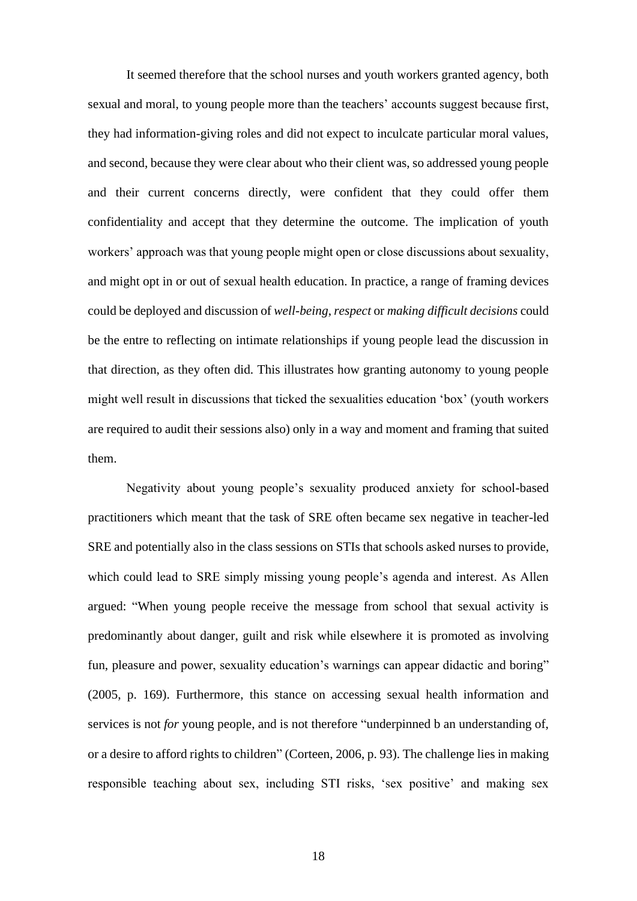It seemed therefore that the school nurses and youth workers granted agency, both sexual and moral, to young people more than the teachers' accounts suggest because first, they had information-giving roles and did not expect to inculcate particular moral values, and second, because they were clear about who their client was, so addressed young people and their current concerns directly, were confident that they could offer them confidentiality and accept that they determine the outcome. The implication of youth workers' approach was that young people might open or close discussions about sexuality, and might opt in or out of sexual health education. In practice, a range of framing devices could be deployed and discussion of *well-being*, *respect* or *making difficult decisions* could be the entre to reflecting on intimate relationships if young people lead the discussion in that direction, as they often did. This illustrates how granting autonomy to young people might well result in discussions that ticked the sexualities education 'box' (youth workers are required to audit their sessions also) only in a way and moment and framing that suited them.

Negativity about young people's sexuality produced anxiety for school-based practitioners which meant that the task of SRE often became sex negative in teacher-led SRE and potentially also in the class sessions on STIs that schools asked nurses to provide, which could lead to SRE simply missing young people's agenda and interest. As Allen argued: "When young people receive the message from school that sexual activity is predominantly about danger, guilt and risk while elsewhere it is promoted as involving fun, pleasure and power, sexuality education's warnings can appear didactic and boring" (2005, p. 169). Furthermore, this stance on accessing sexual health information and services is not *for* young people, and is not therefore "underpinned b an understanding of, or a desire to afford rights to children" (Corteen, 2006, p. 93). The challenge lies in making responsible teaching about sex, including STI risks, 'sex positive' and making sex

18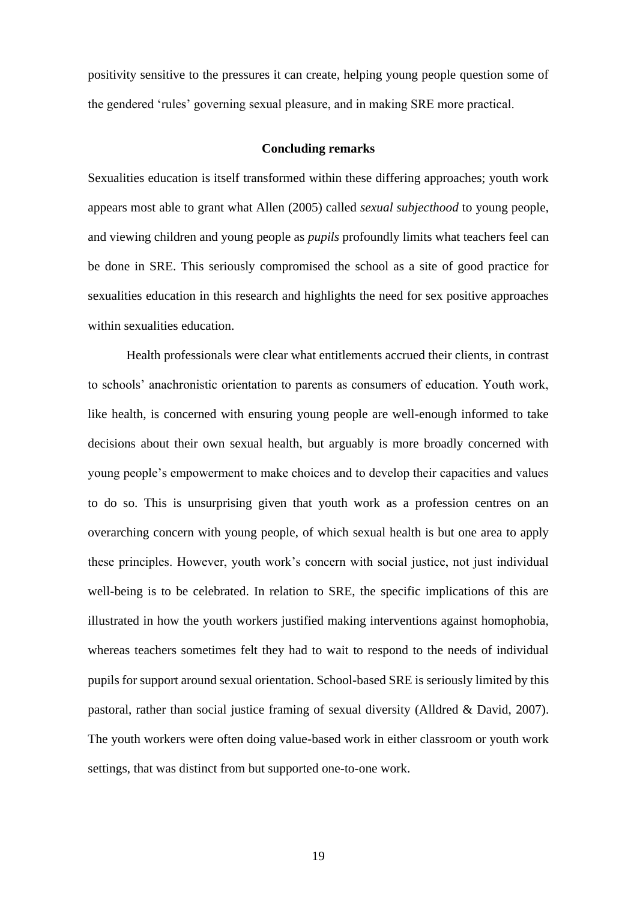positivity sensitive to the pressures it can create, helping young people question some of the gendered 'rules' governing sexual pleasure, and in making SRE more practical.

# **Concluding remarks**

Sexualities education is itself transformed within these differing approaches; youth work appears most able to grant what Allen (2005) called *sexual subjecthood* to young people, and viewing children and young people as *pupils* profoundly limits what teachers feel can be done in SRE. This seriously compromised the school as a site of good practice for sexualities education in this research and highlights the need for sex positive approaches within sexualities education.

Health professionals were clear what entitlements accrued their clients, in contrast to schools' anachronistic orientation to parents as consumers of education. Youth work, like health, is concerned with ensuring young people are well-enough informed to take decisions about their own sexual health, but arguably is more broadly concerned with young people's empowerment to make choices and to develop their capacities and values to do so. This is unsurprising given that youth work as a profession centres on an overarching concern with young people, of which sexual health is but one area to apply these principles. However, youth work's concern with social justice, not just individual well-being is to be celebrated. In relation to SRE, the specific implications of this are illustrated in how the youth workers justified making interventions against homophobia, whereas teachers sometimes felt they had to wait to respond to the needs of individual pupils for support around sexual orientation. School-based SRE is seriously limited by this pastoral, rather than social justice framing of sexual diversity (Alldred & David, 2007). The youth workers were often doing value-based work in either classroom or youth work settings, that was distinct from but supported one-to-one work.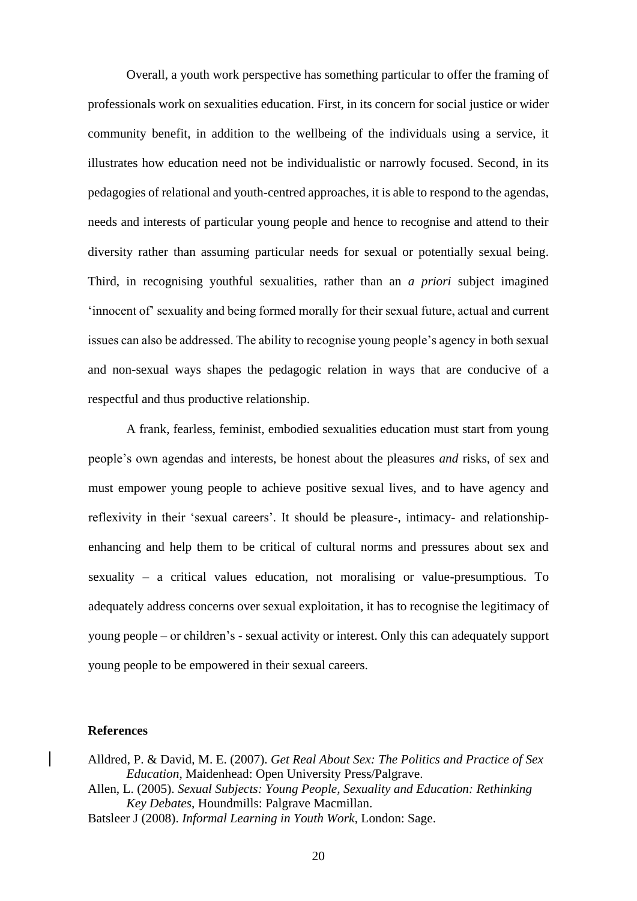Overall, a youth work perspective has something particular to offer the framing of professionals work on sexualities education. First, in its concern for social justice or wider community benefit, in addition to the wellbeing of the individuals using a service, it illustrates how education need not be individualistic or narrowly focused. Second, in its pedagogies of relational and youth-centred approaches, it is able to respond to the agendas, needs and interests of particular young people and hence to recognise and attend to their diversity rather than assuming particular needs for sexual or potentially sexual being. Third, in recognising youthful sexualities, rather than an *a priori* subject imagined 'innocent of' sexuality and being formed morally for their sexual future, actual and current issues can also be addressed. The ability to recognise young people's agency in both sexual and non-sexual ways shapes the pedagogic relation in ways that are conducive of a respectful and thus productive relationship.

 A frank, fearless, feminist, embodied sexualities education must start from young people's own agendas and interests, be honest about the pleasures *and* risks, of sex and must empower young people to achieve positive sexual lives, and to have agency and reflexivity in their 'sexual careers'. It should be pleasure-, intimacy- and relationshipenhancing and help them to be critical of cultural norms and pressures about sex and sexuality – a critical values education, not moralising or value-presumptious. To adequately address concerns over sexual exploitation, it has to recognise the legitimacy of young people – or children's - sexual activity or interest. Only this can adequately support young people to be empowered in their sexual careers.

# **References**

- Alldred, P. & David, M. E. (2007). *Get Real About Sex: The Politics and Practice of Sex Education*, Maidenhead: Open University Press/Palgrave.
- Allen, L. (2005). *Sexual Subjects: Young People, Sexuality and Education: Rethinking Key Debates*, Houndmills: Palgrave Macmillan.
- Batsleer J (2008). *Informal Learning in Youth Work*, London: Sage.